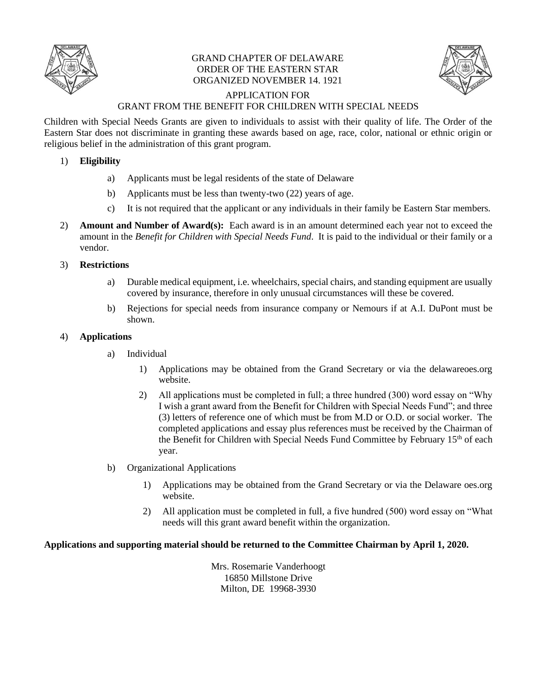

### GRAND CHAPTER OF DELAWARE ORDER OF THE EASTERN STAR ORGANIZED NOVEMBER 14. 1921



# APPLICATION FOR

## GRANT FROM THE BENEFIT FOR CHILDREN WITH SPECIAL NEEDS

Children with Special Needs Grants are given to individuals to assist with their quality of life. The Order of the Eastern Star does not discriminate in granting these awards based on age, race, color, national or ethnic origin or religious belief in the administration of this grant program.

## 1) **Eligibility**

- a) Applicants must be legal residents of the state of Delaware
- b) Applicants must be less than twenty-two (22) years of age.
- c) It is not required that the applicant or any individuals in their family be Eastern Star members*.*
- 2) **Amount and Number of Award(s):** Each award is in an amount determined each year not to exceed the amount in the *Benefit for Children with Special Needs Fund*. It is paid to the individual or their family or a vendor.

#### 3) **Restrictions**

- a) Durable medical equipment, i.e. wheelchairs, special chairs, and standing equipment are usually covered by insurance, therefore in only unusual circumstances will these be covered.
- b) Rejections for special needs from insurance company or Nemours if at A.I. DuPont must be shown.

#### 4) **Applications**

- a) Individual
	- 1) Applications may be obtained from the Grand Secretary or via the delawareoes.org website.
	- 2) All applications must be completed in full; a three hundred (300) word essay on "Why I wish a grant award from the Benefit for Children with Special Needs Fund"; and three (3) letters of reference one of which must be from M.D or O.D. or social worker. The completed applications and essay plus references must be received by the Chairman of the Benefit for Children with Special Needs Fund Committee by February 15<sup>th</sup> of each year.
- b) Organizational Applications
	- 1) Applications may be obtained from the Grand Secretary or via the Delaware oes.org website.
	- 2) All application must be completed in full, a five hundred (500) word essay on "What needs will this grant award benefit within the organization.

#### **Applications and supporting material should be returned to the Committee Chairman by April 1, 2020.**

Mrs. Rosemarie Vanderhoogt 16850 Millstone Drive Milton, DE 19968-3930